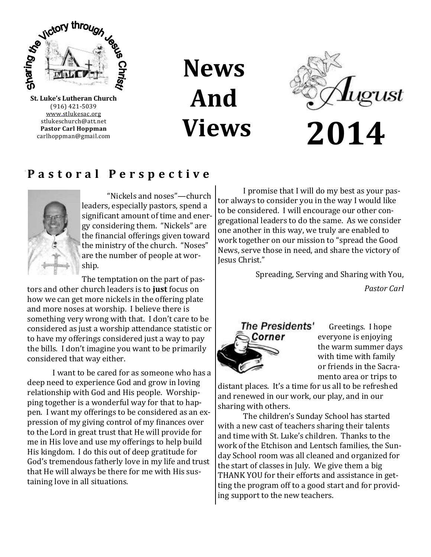

(916) 421-5039 [www.stlukesac.org](http://www.luther95.net/SLLC-SCA) stlukeschurch@att.net **Pastor Carl Hoppman** carlhoppman@gmail.com **News And Views**



# **P a s t o r a l P e r s p e c t i v e**



"Nickels and noses"—church leaders, especially pastors, spend a significant amount of time and energy considering them. "Nickels" are the financial offerings given toward the ministry of the church. "Noses" are the number of people at worship.

The temptation on the part of pastors and other church leaders is to **just** focus on how we can get more nickels in the offering plate and more noses at worship. I believe there is something very wrong with that. I don't care to be considered as just a worship attendance statistic or to have my offerings considered just a way to pay the bills. I don't imagine you want to be primarily considered that way either.

I want to be cared for as someone who has a deep need to experience God and grow in loving relationship with God and His people. Worshipping together is a wonderful way for that to happen. I want my offerings to be considered as an expression of my giving control of my finances over to the Lord in great trust that He will provide for me in His love and use my offerings to help build His kingdom. I do this out of deep gratitude for God's tremendous fatherly love in my life and trust that He will always be there for me with His sustaining love in all situations.

I promise that I will do my best as your pastor always to consider you in the way I would like to be considered. I will encourage our other congregational leaders to do the same. As we consider one another in this way, we truly are enabled to work together on our mission to "spread the Good News, serve those in need, and share the victory of Jesus Christ."

Spreading, Serving and Sharing with You,

*Pastor Carl*



 Greetings. I hope everyone is enjoying the warm summer days with time with family or friends in the Sacramento area or trips to

distant places. It's a time for us all to be refreshed and renewed in our work, our play, and in our sharing with others.

The children's Sunday School has started with a new cast of teachers sharing their talents and time with St. Luke's children. Thanks to the work of the Etchison and Lentsch families, the Sunday School room was all cleaned and organized for the start of classes in July. We give them a big THANK YOU for their efforts and assistance in getting the program off to a good start and for providing support to the new teachers.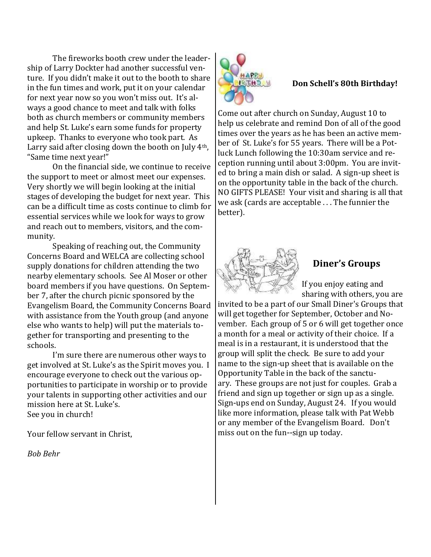The fireworks booth crew under the leadership of Larry Dockter had another successful venture. If you didn't make it out to the booth to share in the fun times and work, put it on your calendar for next year now so you won't miss out. It's always a good chance to meet and talk with folks both as church members or community members and help St. Luke's earn some funds for property upkeep. Thanks to everyone who took part. As Larry said after closing down the booth on July 4th, "Same time next year!"

On the financial side, we continue to receive the support to meet or almost meet our expenses. Very shortly we will begin looking at the initial stages of developing the budget for next year. This can be a difficult time as costs continue to climb for essential services while we look for ways to grow and reach out to members, visitors, and the community.

Speaking of reaching out, the Community Concerns Board and WELCA are collecting school supply donations for children attending the two nearby elementary schools. See Al Moser or other board members if you have questions. On September 7, after the church picnic sponsored by the Evangelism Board, the Community Concerns Board with assistance from the Youth group (and anyone else who wants to help) will put the materials together for transporting and presenting to the schools.

I'm sure there are numerous other ways to get involved at St. Luke's as the Spirit moves you. I encourage everyone to check out the various opportunities to participate in worship or to provide your talents in supporting other activities and our mission here at St. Luke's. See you in church!

Your fellow servant in Christ,

*Bob Behr*



#### **Don Schell's 80th Birthday!**

Come out after church on Sunday, August 10 to help us celebrate and remind Don of all of the good times over the years as he has been an active member of St. Luke's for 55 years. There will be a Potluck Lunch following the 10:30am service and reception running until about 3:00pm. You are invited to bring a main dish or salad. A sign-up sheet is on the opportunity table in the back of the church. NO GIFTS PLEASE! Your visit and sharing is all that we ask (cards are acceptable . . . The funnier the better).



# **Diner's Groups**

If you enjoy eating and sharing with others, you are

invited to be a part of our Small Diner's Groups that will get together for September, October and November. Each group of 5 or 6 will get together once a month for a meal or activity of their choice. If a meal is in a restaurant, it is understood that the group will split the check. Be sure to add your name to the sign-up sheet that is available on the Opportunity Table in the back of the sanctuary. These groups are not just for couples. Grab a friend and sign up together or sign up as a single. Sign-ups end on Sunday, August 24. If you would like more information, please talk with Pat Webb or any member of the Evangelism Board. Don't miss out on the fun--sign up today.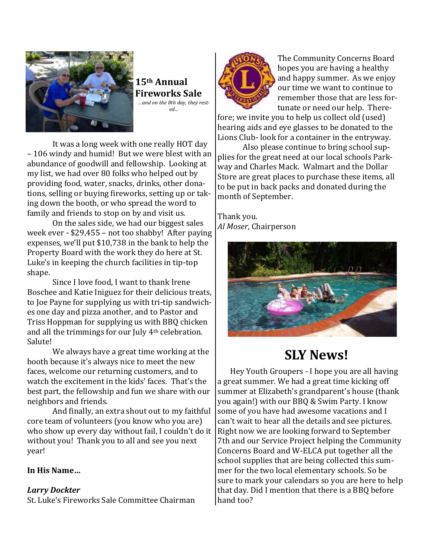

**15th Annual Fireworks Sale** *…and on the 8th day, they rested…*

It was a long week with one really HOT day – 106 windy and humid! But we were blest with an abundance of goodwill and fellowship. Looking at my list, we had over 80 folks who helped out by providing food, water, snacks, drinks, other donations, selling or buying fireworks, setting up or taking down the booth, or who spread the word to family and friends to stop on by and visit us.

On the sales side, we had our biggest sales week ever - \$29,455 – not too shabby! After paying expenses, we'll put \$10,738 in the bank to help the Property Board with the work they do here at St. Luke's in keeping the church facilities in tip-top shape.

Since I love food, I want to thank Irene Boschee and Katie Iniguez for their delicious treats, to Joe Payne for supplying us with tri-tip sandwiches one day and pizza another, and to Pastor and Triss Hoppman for supplying us with BBQ chicken and all the trimmings for our July 4th celebration. Salute!

We always have a great time working at the booth because it's always nice to meet the new faces, welcome our returning customers, and to watch the excitement in the kids' faces. That's the best part, the fellowship and fun we share with our neighbors and friends.

And finally, an extra shout out to my faithful core team of volunteers (you know who you are) who show up every day without fail, I couldn't do it without you! Thank you to all and see you next year!

#### **In His Name…**

### *Larry Dockter*

St. Luke's Fireworks Sale Committee Chairman



The Community Concerns Board hopes you are having a healthy and happy summer. As we enjoy our time we want to continue to remember those that are less fortunate or need our help. There-

fore; we invite you to help us collect old (used) hearing aids and eye glasses to be donated to the Lions Club- look for a container in the entryway.

Also please continue to bring school supplies for the great need at our local schools Parkway and Charles Mack. Walmart and the Dollar Store are great places to purchase these items, all to be put in back packs and donated during the month of September.

Thank you. *Al Moser*, Chairperson



# **SLY News!**

Hey Youth Groupers - I hope you are all having a great summer. We had a great time kicking off summer at Elizabeth's grandparent's house (thank you again!) with our BBQ & Swim Party. I know some of you have had awesome vacations and I can't wait to hear all the details and see pictures. Right now we are looking forward to September 7th and our Service Project helping the Community Concerns Board and W-ELCA put together all the school supplies that are being collected this summer for the two local elementary schools. So be sure to mark your calendars so you are here to help that day. Did I mention that there is a BBQ before hand too?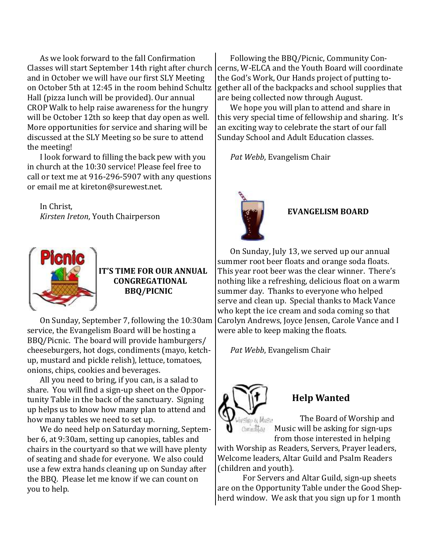As we look forward to the fall Confirmation Classes will start September 14th right after church and in October we will have our first SLY Meeting on October 5th at 12:45 in the room behind Schultz Hall (pizza lunch will be provided). Our annual CROP Walk to help raise awareness for the hungry will be October 12th so keep that day open as well. More opportunities for service and sharing will be discussed at the SLY Meeting so be sure to attend the meeting!

I look forward to filling the back pew with you in church at the 10:30 service! Please feel free to call or text me at 916-296-5907 with any questions or email me at kireton@surewest.net.

In Christ, *Kirsten Ireton*, Youth Chairperson



**IT'S TIME FOR OUR ANNUAL CONGREGATIONAL BBQ/PICNIC**

On Sunday, September 7, following the 10:30am service, the Evangelism Board will be hosting a BBQ/Picnic. The board will provide hamburgers/ cheeseburgers, hot dogs, condiments (mayo, ketchup, mustard and pickle relish), lettuce, tomatoes, onions, chips, cookies and beverages.

All you need to bring, if you can, is a salad to share. You will find a sign-up sheet on the Opportunity Table in the back of the sanctuary. Signing up helps us to know how many plan to attend and how many tables we need to set up.

We do need help on Saturday morning, September 6, at 9:30am, setting up canopies, tables and chairs in the courtyard so that we will have plenty of seating and shade for everyone. We also could use a few extra hands cleaning up on Sunday after the BBQ. Please let me know if we can count on you to help.

Following the BBQ/Picnic, Community Concerns, W-ELCA and the Youth Board will coordinate the God's Work, Our Hands project of putting together all of the backpacks and school supplies that are being collected now through August.

We hope you will plan to attend and share in this very special time of fellowship and sharing. It's an exciting way to celebrate the start of our fall Sunday School and Adult Education classes.

*Pat Webb*, Evangelism Chair



### **EVANGELISM BOARD**

On Sunday, July 13, we served up our annual summer root beer floats and orange soda floats. This year root beer was the clear winner. There's nothing like a refreshing, delicious float on a warm summer day. Thanks to everyone who helped serve and clean up. Special thanks to Mack Vance who kept the ice cream and soda coming so that Carolyn Andrews, Joyce Jensen, Carole Vance and I were able to keep making the floats.

*Pat Webb*, Evangelism Chair



# **Help Wanted**

The Board of Worship and Music will be asking for sign-ups from those interested in helping

with Worship as Readers, Servers, Prayer leaders, Welcome leaders, Altar Guild and Psalm Readers (children and youth).

For Servers and Altar Guild, sign-up sheets are on the Opportunity Table under the Good Shepherd window. We ask that you sign up for 1 month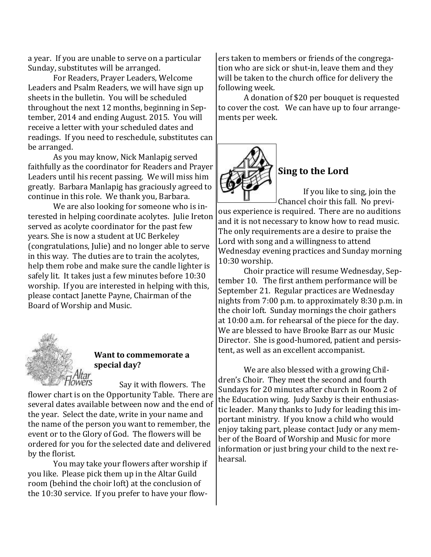a year. If you are unable to serve on a particular Sunday, substitutes will be arranged.

For Readers, Prayer Leaders, Welcome Leaders and Psalm Readers, we will have sign up sheets in the bulletin. You will be scheduled throughout the next 12 months, beginning in September, 2014 and ending August. 2015. You will receive a letter with your scheduled dates and readings. If you need to reschedule, substitutes can be arranged.

As you may know, Nick Manlapig served faithfully as the coordinator for Readers and Prayer Leaders until his recent passing. We will miss him greatly. Barbara Manlapig has graciously agreed to continue in this role. We thank you, Barbara.

We are also looking for someone who is interested in helping coordinate acolytes. Julie Ireton served as acolyte coordinator for the past few years. She is now a student at UC Berkeley (congratulations, Julie) and no longer able to serve in this way. The duties are to train the acolytes, help them robe and make sure the candle lighter is safely lit. It takes just a few minutes before 10:30 worship. If you are interested in helping with this, please contact Janette Payne, Chairman of the Board of Worship and Music.



### **Want to commemorate a special day?**

\Itar<br>wers Say it with flowers. The flower chart is on the Opportunity Table. There are several dates available between now and the end of the year. Select the date, write in your name and the name of the person you want to remember, the event or to the Glory of God. The flowers will be ordered for you for the selected date and delivered by the florist.

You may take your flowers after worship if you like. Please pick them up in the Altar Guild room (behind the choir loft) at the conclusion of the 10:30 service. If you prefer to have your flowers taken to members or friends of the congregation who are sick or shut-in, leave them and they will be taken to the church office for delivery the following week.

A donation of \$20 per bouquet is requested to cover the cost. We can have up to four arrangements per week.



# **Sing to the Lord**

If you like to sing, join the Chancel choir this fall. No previ-

ous experience is required. There are no auditions and it is not necessary to know how to read music. The only requirements are a desire to praise the Lord with song and a willingness to attend Wednesday evening practices and Sunday morning 10:30 worship.

Choir practice will resume Wednesday, September 10. The first anthem performance will be September 21. Regular practices are Wednesday nights from 7:00 p.m. to approximately 8:30 p.m. in the choir loft. Sunday mornings the choir gathers at 10:00 a.m. for rehearsal of the piece for the day. We are blessed to have Brooke Barr as our Music Director. She is good-humored, patient and persistent, as well as an excellent accompanist.

We are also blessed with a growing Children's Choir. They meet the second and fourth Sundays for 20 minutes after church in Room 2 of the Education wing. Judy Saxby is their enthusiastic leader. Many thanks to Judy for leading this important ministry. If you know a child who would enjoy taking part, please contact Judy or any member of the Board of Worship and Music for more information or just bring your child to the next rehearsal.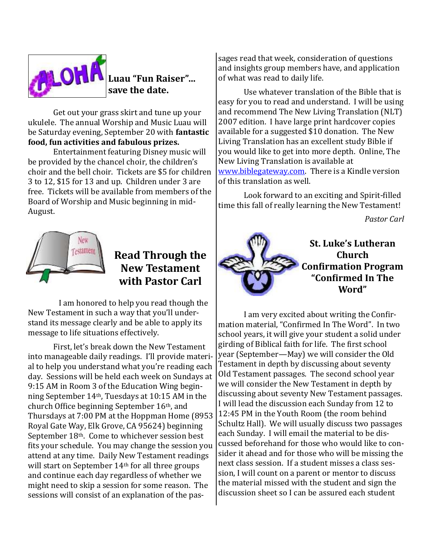

# **Luau "Fun Raiser"… save the date.**

Get out your grass skirt and tune up your ukulele. The annual Worship and Music Luau will be Saturday evening, September 20 with **fantastic food, fun activities and fabulous prizes.**

Entertainment featuring Disney music will be provided by the chancel choir, the children's choir and the bell choir. Tickets are \$5 for children 3 to 12, \$15 for 13 and up. Children under 3 are free. Tickets will be available from members of the Board of Worship and Music beginning in mid-August.



# **Read Through the New Testament with Pastor Carl**

 I am honored to help you read though the New Testament in such a way that you'll understand its message clearly and be able to apply its message to life situations effectively.

First, let's break down the New Testament into manageable daily readings. I'll provide material to help you understand what you're reading each day. Sessions will be held each week on Sundays at 9:15 AM in Room 3 of the Education Wing beginning September 14th, Tuesdays at 10:15 AM in the church Office beginning September 16th, and Thursdays at 7:00 PM at the Hoppman Home (8953 Royal Gate Way, Elk Grove, CA 95624) beginning September 18th. Come to whichever session best fits your schedule. You may change the session you attend at any time. Daily New Testament readings will start on September 14th for all three groups and continue each day regardless of whether we might need to skip a session for some reason. The sessions will consist of an explanation of the pas-

sages read that week, consideration of questions and insights group members have, and application of what was read to daily life.

Use whatever translation of the Bible that is easy for you to read and understand. I will be using and recommend The New Living Translation (NLT) 2007 edition. I have large print hardcover copies available for a suggested \$10 donation. The New Living Translation has an excellent study Bible if you would like to get into more depth. Online, The New Living Translation is available at [www.biblegateway.com.](http://www.biblegateway.com) There is a Kindle version of this translation as well.

Look forward to an exciting and Spirit-filled time this fall of really learning the New Testament!

*Pastor Carl*



I am very excited about writing the Confirmation material, "Confirmed In The Word". In two school years, it will give your student a solid under girding of Biblical faith for life. The first school year (September—May) we will consider the Old Testament in depth by discussing about seventy Old Testament passages. The second school year we will consider the New Testament in depth by discussing about seventy New Testament passages. I will lead the discussion each Sunday from 12 to 12:45 PM in the Youth Room (the room behind Schultz Hall). We will usually discuss two passages each Sunday. I will email the material to be discussed beforehand for those who would like to consider it ahead and for those who will be missing the next class session. If a student misses a class session, I will count on a parent or mentor to discuss the material missed with the student and sign the discussion sheet so I can be assured each student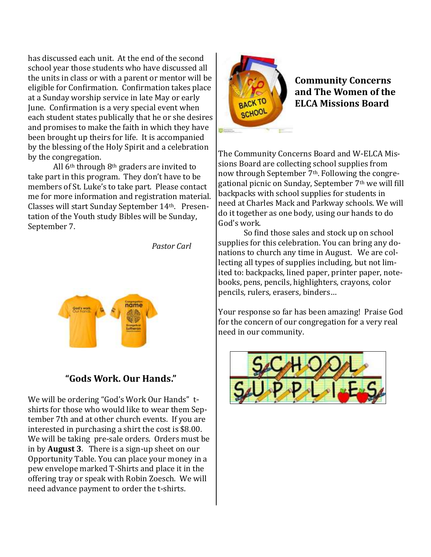has discussed each unit. At the end of the second school year those students who have discussed all the units in class or with a parent or mentor will be eligible for Confirmation. Confirmation takes place at a Sunday worship service in late May or early June. Confirmation is a very special event when each student states publically that he or she desires and promises to make the faith in which they have been brought up theirs for life. It is accompanied by the blessing of the Holy Spirit and a celebration by the congregation.

All 6th through 8th graders are invited to take part in this program. They don't have to be members of St. Luke's to take part. Please contact me for more information and registration material. Classes will start Sunday September 14th. Presentation of the Youth study Bibles will be Sunday, September 7.

*Pastor Carl*



## **"Gods Work. Our Hands."**

We will be ordering "God's Work Our Hands" tshirts for those who would like to wear them September 7th and at other church events. If you are interested in purchasing a shirt the cost is \$8.00. We will be taking pre-sale orders. Orders must be in by **August 3**. There is a sign-up sheet on our Opportunity Table. You can place your money in a pew envelope marked T-Shirts and place it in the offering tray or speak with Robin Zoesch. We will need advance payment to order the t-shirts.



**Community Concerns and The Women of the ELCA Missions Board**

The Community Concerns Board and W-ELCA Missions Board are collecting school supplies from now through September 7<sup>th</sup>. Following the congregational picnic on Sunday, September 7th we will fill backpacks with school supplies for students in need at Charles Mack and Parkway schools. We will do it together as one body, using our hands to do God's work.

So find those sales and stock up on school supplies for this celebration. You can bring any donations to church any time in August. We are collecting all types of supplies including, but not limited to: backpacks, lined paper, printer paper, notebooks, pens, pencils, highlighters, crayons, color pencils, rulers, erasers, binders…

Your response so far has been amazing! Praise God for the concern of our congregation for a very real need in our community.

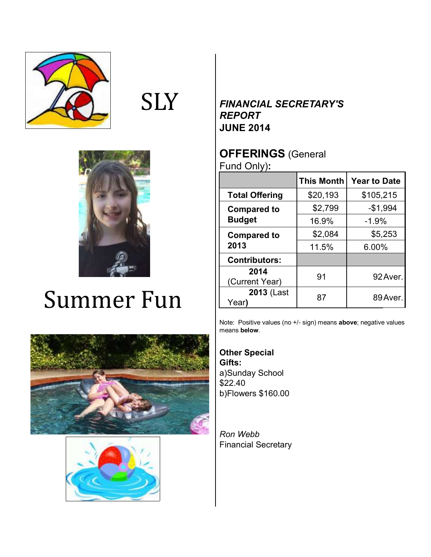

# **SLY**



# Summer Fun





# *FINANCIAL SECRETARY'S REPORT* **JUNE 2014**

# **OFFERINGS** (General Fund Only)**:**

|                                     | <b>This Month</b> | <b>Year to Date</b> |
|-------------------------------------|-------------------|---------------------|
| <b>Total Offering</b>               | \$20,193          | \$105,215           |
| <b>Compared to</b><br><b>Budget</b> | \$2,799           | $-$1,994$           |
|                                     | 16.9%             | $-1.9%$             |
| <b>Compared to</b><br>2013          | \$2,084           | \$5,253             |
|                                     | 11.5%             | 6.00%               |
| <b>Contributors:</b>                |                   |                     |
| 2014<br>(Current Year)              | 91                | 92 Aver.            |
| 2013 (Last<br>Year)                 | 87                | 89 Aver.            |

Note: Positive values (no +/- sign) means **above**; negative values means **below**.

**Other Special Gifts:** a)Sunday School \$22.40 b)Flowers \$160.00

*Ron Webb* Financial Secretary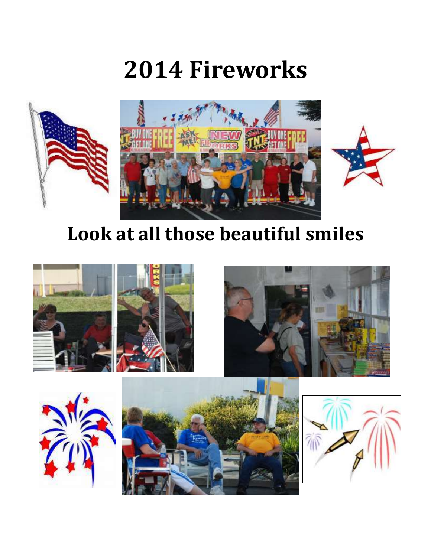# **2014 Fireworks**



# **Look at all those beautiful smiles**







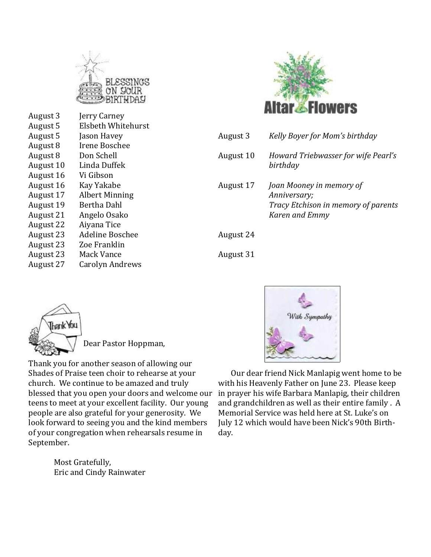

| August 3<br>August 5<br>August 5<br>August 8<br>August 8<br>August 10<br>August 16<br>August 16<br>August 17<br>August 19<br>August 21<br>August 22 | Jerry Carney<br>Elsbeth Whitehurst<br>Jason Havey<br>Irene Boschee<br>Don Schell<br>Linda Duffek<br>Vi Gibson<br>Kay Yakabe<br><b>Albert Minning</b><br>Bertha Dahl<br>Angelo Osako<br>Aiyana Tice |
|-----------------------------------------------------------------------------------------------------------------------------------------------------|----------------------------------------------------------------------------------------------------------------------------------------------------------------------------------------------------|
|                                                                                                                                                     |                                                                                                                                                                                                    |
|                                                                                                                                                     |                                                                                                                                                                                                    |
|                                                                                                                                                     |                                                                                                                                                                                                    |
| August 23<br>August 23                                                                                                                              | Adeline Boschee<br>Zoe Franklin                                                                                                                                                                    |
| August 23<br>August 27                                                                                                                              | <b>Mack Vance</b><br><b>Carolyn Andrews</b>                                                                                                                                                        |
|                                                                                                                                                     |                                                                                                                                                                                                    |



| August 3  | Kelly Boyer for Mom's birthday                                                                    |
|-----------|---------------------------------------------------------------------------------------------------|
| August 10 | Howard Triebwasser for wife Pearl's<br>birthday                                                   |
| August 17 | Joan Mooney in memory of<br>Anniversary;<br>Tracy Etchison in memory of parents<br>Karen and Emmy |
| August 24 |                                                                                                   |



Dear Pastor Hoppman,

Thank you for another season of allowing our Shades of Praise teen choir to rehearse at your church. We continue to be amazed and truly blessed that you open your doors and welcome our teens to meet at your excellent facility. Our young people are also grateful for your generosity. We look forward to seeing you and the kind members of your congregation when rehearsals resume in September.

> Most Gratefully, Eric and Cindy Rainwater



August 31

Our dear friend Nick Manlapig went home to be with his Heavenly Father on June 23. Please keep in prayer his wife Barbara Manlapig, their children and grandchildren as well as their entire family . A Memorial Service was held here at St. Luke's on July 12 which would have been Nick's 90th Birthday.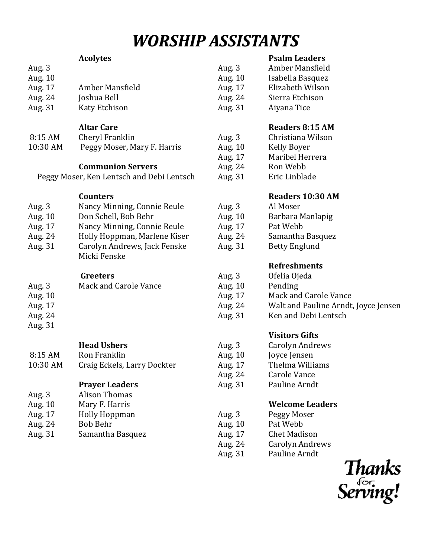# *WORSHIP ASSISTANTS*

|         | <b>Acolytes</b> |          | <b>Psalm Leaders</b> |
|---------|-----------------|----------|----------------------|
| Aug. 3  |                 | Aug. $3$ | Amber Mansfield      |
| Aug. 10 |                 | Aug. 10  | Isabella Basquez     |
| Aug. 17 | Amber Mansfield | Aug. 17  | Elizabeth Wilson     |
| Aug. 24 | Joshua Bell     | Aug. 24  | Sierra Etchison      |
| Aug. 31 | Katy Etchison   | Aug. 31  | Aiyana Tice          |

#### **Altar Care**

| 8:15 AM  | Cheryl Franklin             |
|----------|-----------------------------|
| 10:30 AM | Peggy Moser, Mary F. Harris |

### **Communion Servers**

Peggy Moser, Ken Lentsch and Debi Lentsch

**Counters**

| Aug. $3$ | Nancy Minning, Connie Reule  |
|----------|------------------------------|
| Aug. 10  | Don Schell, Bob Behr         |
| Aug. 17  | Nancy Minning, Connie Reule  |
| Aug. 24  | Holly Hoppman, Marlene Kiser |
| Aug. 31  | Carolyn Andrews, Jack Fenske |
|          | Micki Fenske                 |

| <b>Greeters</b> |  |
|-----------------|--|
|                 |  |

| Aug. 3  | Mack and Carole Vance |
|---------|-----------------------|
| Aug. 10 |                       |
| Aug. 17 |                       |
| Aug. 24 |                       |
| Aug. 31 |                       |

## **Head Ushers**

| 8:15 AM  | Ron Franklin                |
|----------|-----------------------------|
| 10:30 AM | Craig Eckels, Larry Dockter |

### **Prayer Leaders**

| Aug. 3  | <b>Alison Thomas</b> |
|---------|----------------------|
| Aug. 10 | Mary F. Harris       |
| Aug. 17 | Holly Hoppman        |
| Aug. 24 | <b>Bob Behr</b>      |
| Aug. 31 | Samantha Basquez     |
|         |                      |

### **Psalm Leaders**

| Aug. $3$ | Amber Mansfield  |
|----------|------------------|
| Aug. 10  | Isabella Basquez |
| Aug. 17  | Elizabeth Wilson |
| Aug. 24  | Sierra Etchison  |
| Aug. 31  | Aiyana Tice      |

### **Readers 8:15 AM**

| Aug. 3  | Christiana Wilson |
|---------|-------------------|
| Aug. 10 | Kelly Boyer       |
| Aug. 17 | Maribel Herrera   |
| Aug. 24 | Ron Webb          |
| Aug. 31 | Eric Linblade     |
|         |                   |

### **Readers 10:30 AM**

- Aug. 3 Al Moser Aug. 10 Barbara Manlapig Aug. 17 Pat Webb Aug. 24 Samantha Basquez
- Aug. 31 Betty Englund

# **Refreshments**

| Aug. 3  | Ofelia Ojeda                         |
|---------|--------------------------------------|
| Aug. 10 | Pending                              |
| Aug. 17 | Mack and Carole Vance                |
| Aug. 24 | Walt and Pauline Arndt, Joyce Jensen |
| Aug. 31 | Ken and Debi Lentsch                 |
|         |                                      |

# **Visitors Gifts**

| Carolyn Andrews     |
|---------------------|
| Joyce Jensen        |
| Thelma Williams     |
| <b>Carole Vance</b> |
|                     |

Aug. 31 Pauline Arndt

### **Welcome Leaders**

| Aug. 3  | Peggy Moser         |
|---------|---------------------|
| Aug. 10 | Pat Webb            |
| Aug. 17 | <b>Chet Madison</b> |
| Aug. 24 | Carolyn Andrews     |
| Aug. 31 | Pauline Arndt       |
|         |                     |